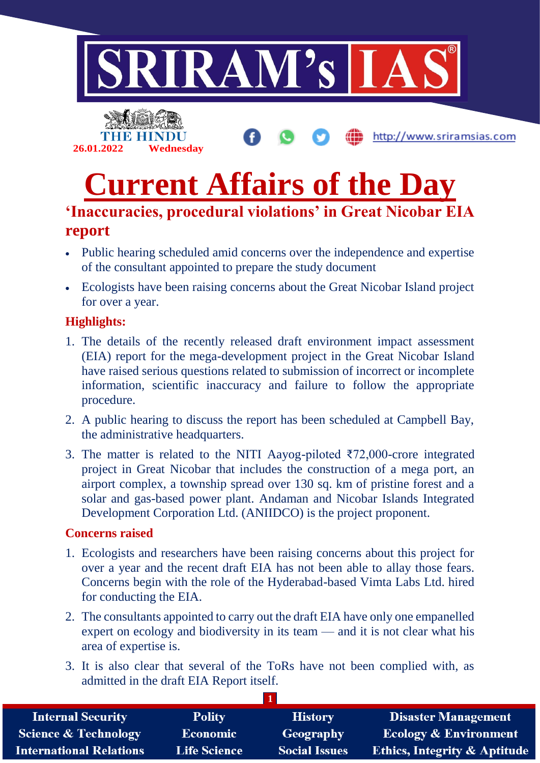



http://www.sriramsias.com

# **Current Affairs of the Day**

# **'Inaccuracies, procedural violations' in Great Nicobar EIA report**

- Public hearing scheduled amid concerns over the independence and expertise of the consultant appointed to prepare the study document
- Ecologists have been raising concerns about the Great Nicobar Island project for over a year.

## **Highlights:**

- 1. The details of the recently released draft environment impact assessment (EIA) report for the mega-development project in the Great Nicobar Island have raised serious questions related to submission of incorrect or incomplete information, scientific inaccuracy and failure to follow the appropriate procedure.
- 2. A public hearing to discuss the report has been scheduled at Campbell Bay, the administrative headquarters.
- 3. The matter is related to the NITI Aayog-piloted  $\overline{572,000}$ -crore integrated project in Great Nicobar that includes the construction of a mega port, an airport complex, a township spread over 130 sq. km of pristine forest and a solar and gas-based power plant. Andaman and Nicobar Islands Integrated Development Corporation Ltd. (ANIIDCO) is the project proponent.

## **Concerns raised**

- 1. Ecologists and researchers have been raising concerns about this project for over a year and the recent draft EIA has not been able to allay those fears. Concerns begin with the role of the Hyderabad-based Vimta Labs Ltd. hired for conducting the EIA.
- 2. The consultants appointed to carry out the draft EIA have only one empanelled expert on ecology and biodiversity in its team — and it is not clear what his area of expertise is.
- 3. It is also clear that several of the ToRs have not been complied with, as admitted in the draft EIA Report itself.

| <b>Internal Security</b>        | <b>Polity</b>       | <b>History</b>       | <b>Disaster Management</b>              |
|---------------------------------|---------------------|----------------------|-----------------------------------------|
| <b>Science &amp; Technology</b> | <b>Economic</b>     | <b>Geography</b>     | <b>Ecology &amp; Environment</b>        |
| <b>International Relations</b>  | <b>Life Science</b> | <b>Social Issues</b> | <b>Ethics, Integrity &amp; Aptitude</b> |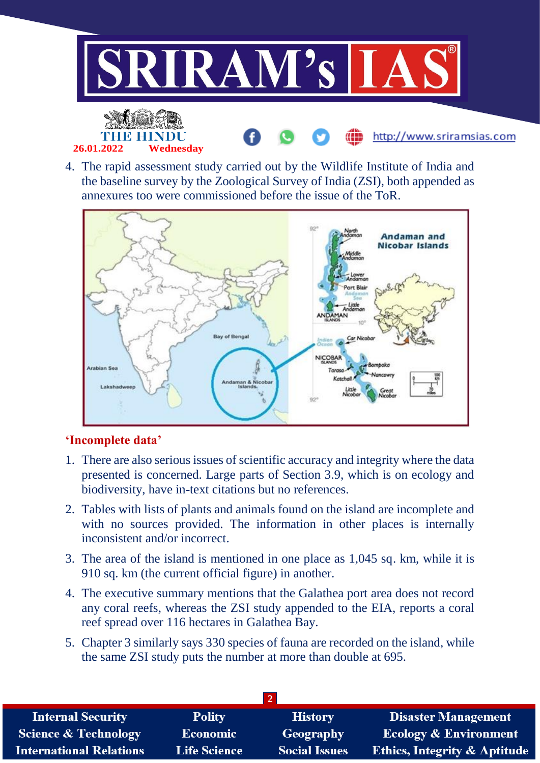

4. The rapid assessment study carried out by the Wildlife Institute of India and the baseline survey by the Zoological Survey of India (ZSI), both appended as annexures too were commissioned before the issue of the ToR.



## **'Incomplete data'**

- 1. There are also serious issues of scientific accuracy and integrity where the data presented is concerned. Large parts of Section 3.9, which is on ecology and biodiversity, have in-text citations but no references.
- 2. Tables with lists of plants and animals found on the island are incomplete and with no sources provided. The information in other places is internally inconsistent and/or incorrect.
- 3. The area of the island is mentioned in one place as 1,045 sq. km, while it is 910 sq. km (the current official figure) in another.
- 4. The executive summary mentions that the Galathea port area does not record any coral reefs, whereas the ZSI study appended to the EIA, reports a coral reef spread over 116 hectares in Galathea Bay.
- 5. Chapter 3 similarly says 330 species of fauna are recorded on the island, while the same ZSI study puts the number at more than double at 695.

| <b>Internal Security</b>        | <b>Polity</b>       | <b>History</b>       | <b>Disaster Management</b>              |  |  |  |
|---------------------------------|---------------------|----------------------|-----------------------------------------|--|--|--|
| <b>Science &amp; Technology</b> | <b>Economic</b>     | <b>Geography</b>     | <b>Ecology &amp; Environment</b>        |  |  |  |
| <b>International Relations</b>  | <b>Life Science</b> | <b>Social Issues</b> | <b>Ethics, Integrity &amp; Aptitude</b> |  |  |  |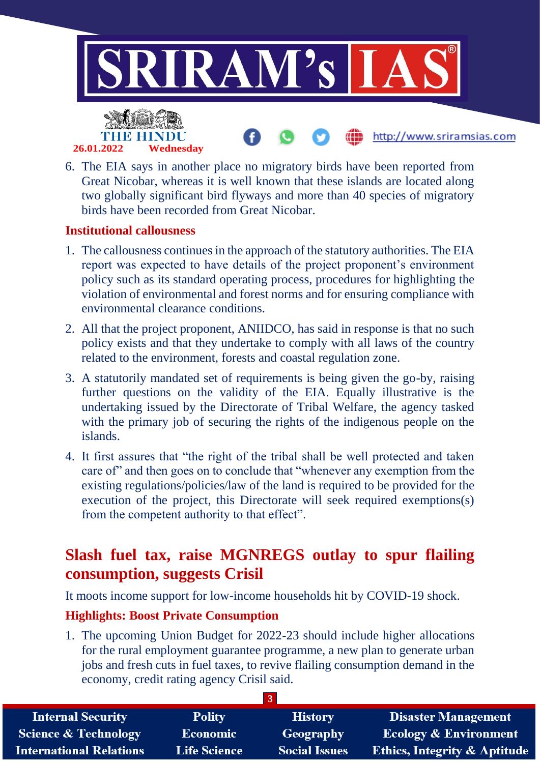

6. The EIA says in another place no migratory birds have been reported from Great Nicobar, whereas it is well known that these islands are located along two globally significant bird flyways and more than 40 species of migratory birds have been recorded from Great Nicobar.

#### **Institutional callousness**

- 1. The callousness continues in the approach of the statutory authorities. The EIA report was expected to have details of the project proponent's environment policy such as its standard operating process, procedures for highlighting the violation of environmental and forest norms and for ensuring compliance with environmental clearance conditions.
- 2. All that the project proponent, ANIIDCO, has said in response is that no such policy exists and that they undertake to comply with all laws of the country related to the environment, forests and coastal regulation zone.
- 3. A statutorily mandated set of requirements is being given the go-by, raising further questions on the validity of the EIA. Equally illustrative is the undertaking issued by the Directorate of Tribal Welfare, the agency tasked with the primary job of securing the rights of the indigenous people on the islands.
- 4. It first assures that "the right of the tribal shall be well protected and taken care of" and then goes on to conclude that "whenever any exemption from the existing regulations/policies/law of the land is required to be provided for the execution of the project, this Directorate will seek required exemptions(s) from the competent authority to that effect".

## **Slash fuel tax, raise MGNREGS outlay to spur flailing consumption, suggests Crisil**

It moots income support for low-income households hit by COVID-19 shock.

## **Highlights: Boost Private Consumption**

1. The upcoming Union Budget for 2022-23 should include higher allocations for the rural employment guarantee programme, a new plan to generate urban jobs and fresh cuts in fuel taxes, to revive flailing consumption demand in the economy, credit rating agency Crisil said.

| <b>Internal Security</b>        | <b>Polity</b>       | <b>History</b>       | <b>Disaster Management</b>              |  |  |
|---------------------------------|---------------------|----------------------|-----------------------------------------|--|--|
| <b>Science &amp; Technology</b> | <b>Economic</b>     | Geography            | <b>Ecology &amp; Environment</b>        |  |  |
| <b>International Relations</b>  | <b>Life Science</b> | <b>Social Issues</b> | <b>Ethics, Integrity &amp; Aptitude</b> |  |  |